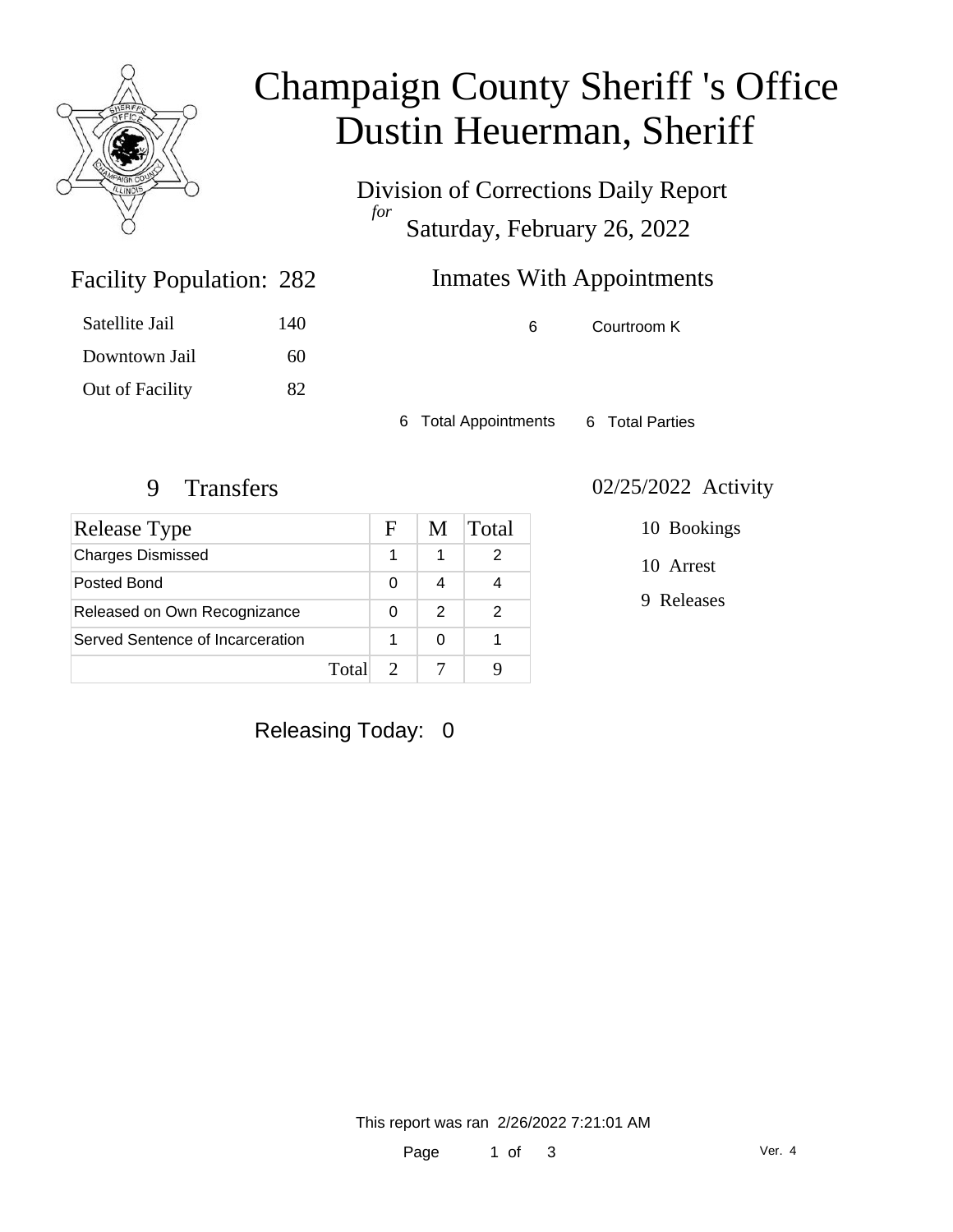

# Champaign County Sheriff 's Office Dustin Heuerman, Sheriff

Division of Corrections Daily Report *for* Saturday, February 26, 2022

## Inmates With Appointments

| Satellite Jail  | 140 |
|-----------------|-----|
| Downtown Jail   | 60  |
| Out of Facility | 82  |

Facility Population: 282

6 Courtroom K

6 Total Appointments 6 Total Parties

| Release Type                     |       | F | M             | Total |
|----------------------------------|-------|---|---------------|-------|
| <b>Charges Dismissed</b>         |       |   |               |       |
| Posted Bond                      |       | 0 |               |       |
| Released on Own Recognizance     |       | 0 | $\mathcal{P}$ | 2     |
| Served Sentence of Incarceration |       |   | O             |       |
|                                  | Total |   |               |       |

#### 9 Transfers 02/25/2022 Activity

10 Bookings

10 Arrest

9 Releases

Releasing Today: 0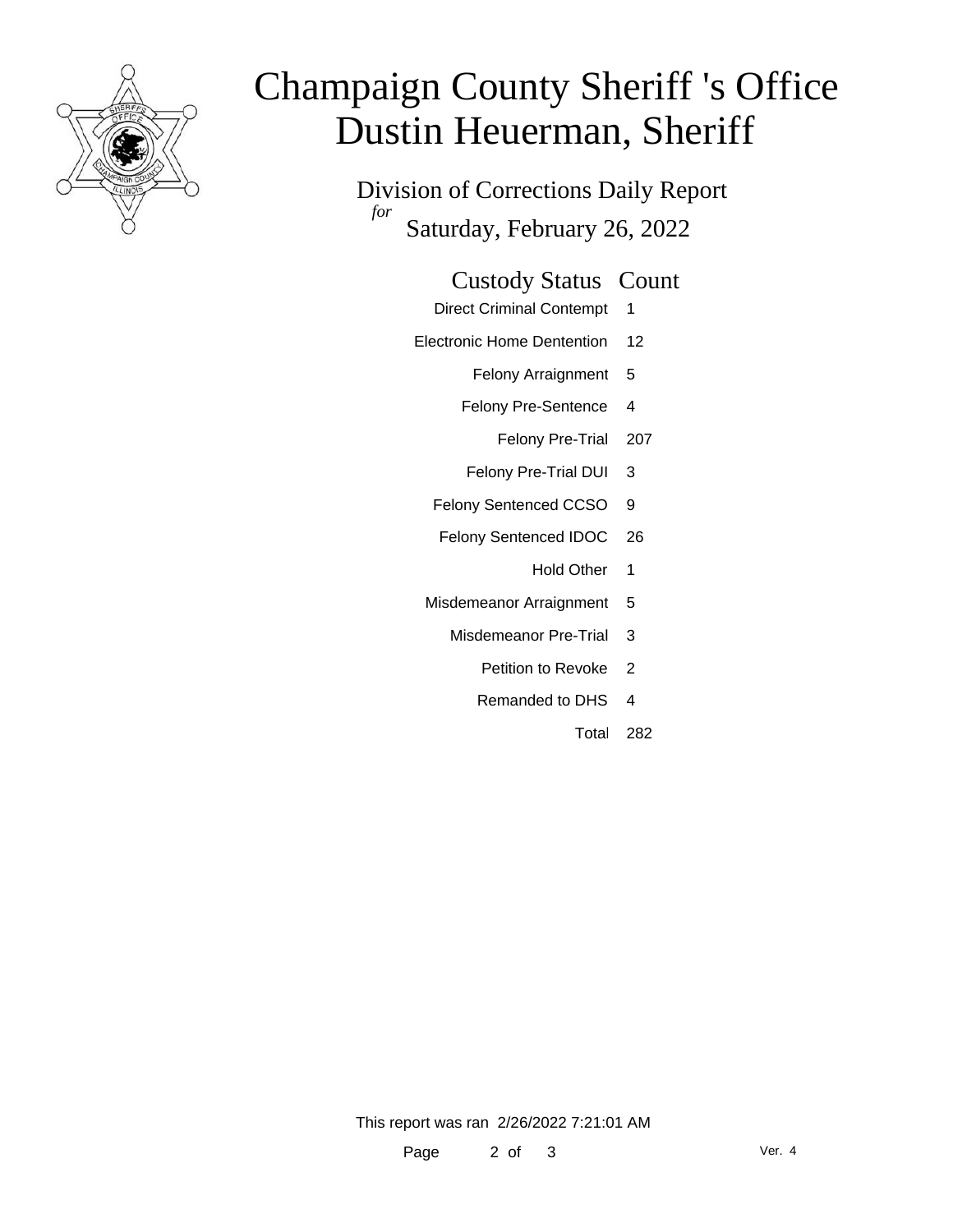

# Champaign County Sheriff 's Office Dustin Heuerman, Sheriff

Division of Corrections Daily Report *for* Saturday, February 26, 2022

#### Custody Status Count

- Direct Criminal Contempt 1
- Electronic Home Dentention 12
	- Felony Arraignment 5
	- Felony Pre-Sentence 4
		- Felony Pre-Trial 207
	- Felony Pre-Trial DUI 3
	- Felony Sentenced CCSO 9
	- Felony Sentenced IDOC 26
		- Hold Other 1
	- Misdemeanor Arraignment 5
		- Misdemeanor Pre-Trial 3
			- Petition to Revoke 2
			- Remanded to DHS 4
				- Total 282

This report was ran 2/26/2022 7:21:01 AM